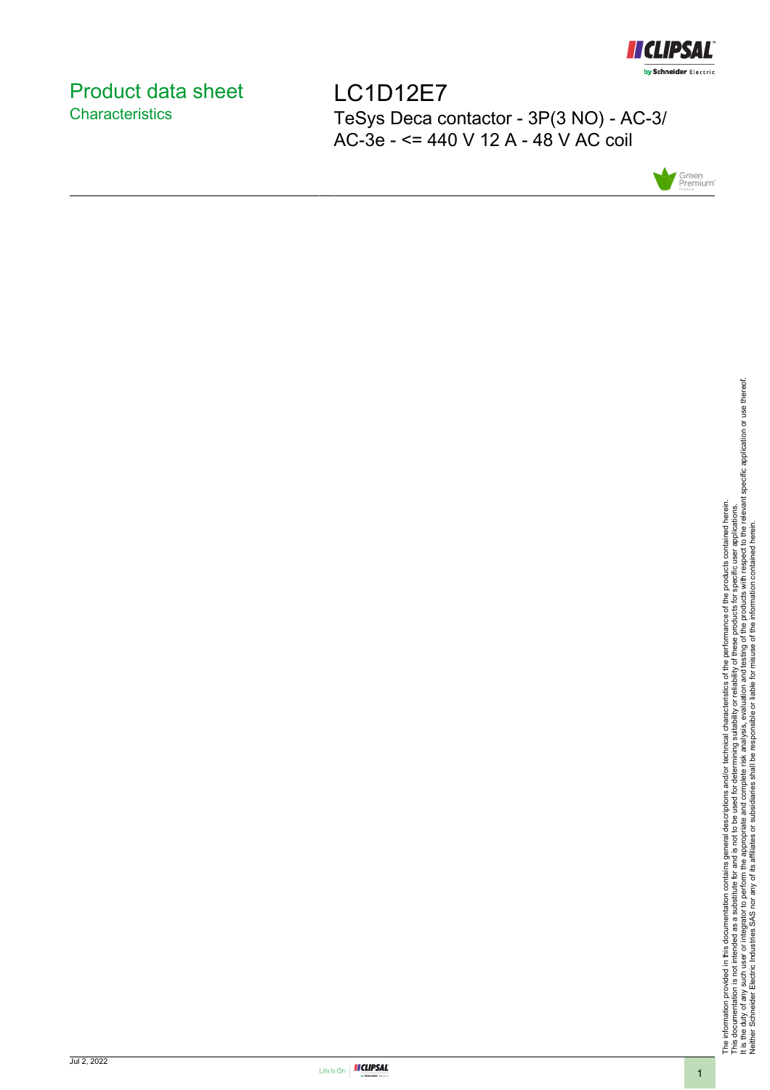

# <span id="page-0-0"></span>Product data sheet **Characteristics**

LC1D12E7 TeSys Deca contactor - 3P(3 NO) - AC-3/ AC-3e - <= 440 V 12 A - 48 V AC coil



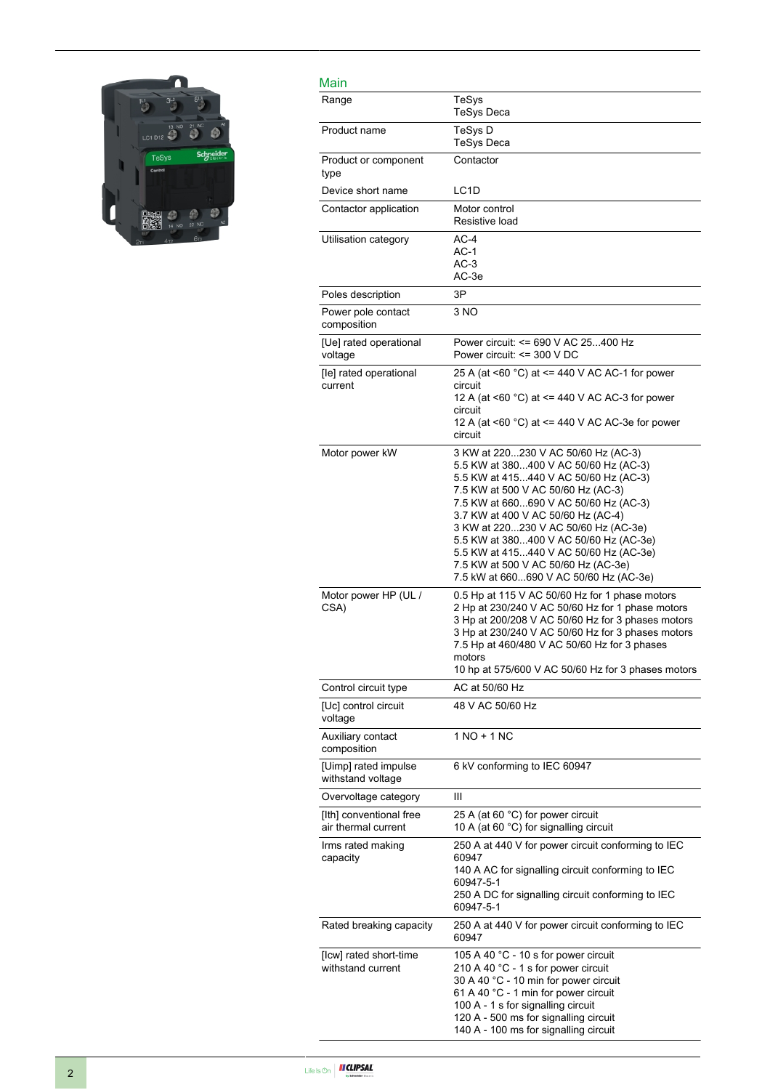

| Main                                           |                                                                                                                                                                                                                                                                                                                                                                                                                                                         |
|------------------------------------------------|---------------------------------------------------------------------------------------------------------------------------------------------------------------------------------------------------------------------------------------------------------------------------------------------------------------------------------------------------------------------------------------------------------------------------------------------------------|
| Range                                          | TeSys<br><b>TeSys Deca</b>                                                                                                                                                                                                                                                                                                                                                                                                                              |
| Product name                                   | TeSys D<br><b>TeSys Deca</b>                                                                                                                                                                                                                                                                                                                                                                                                                            |
| Product or component<br>type                   | Contactor                                                                                                                                                                                                                                                                                                                                                                                                                                               |
| Device short name                              | LC <sub>1</sub> D                                                                                                                                                                                                                                                                                                                                                                                                                                       |
| Contactor application                          | Motor control<br>Resistive load                                                                                                                                                                                                                                                                                                                                                                                                                         |
| Utilisation category                           | $AC-4$<br>$AC-1$<br>$AC-3$<br>AC-3e                                                                                                                                                                                                                                                                                                                                                                                                                     |
| Poles description                              | 3P                                                                                                                                                                                                                                                                                                                                                                                                                                                      |
| Power pole contact<br>composition              | 3 NO                                                                                                                                                                                                                                                                                                                                                                                                                                                    |
| [Ue] rated operational<br>voltage              | Power circuit: <= 690 V AC 25400 Hz<br>Power circuit: $\leq$ 300 V DC                                                                                                                                                                                                                                                                                                                                                                                   |
| [le] rated operational<br>current              | 25 A (at <60 °C) at <= 440 V AC AC-1 for power<br>circuit<br>12 A (at <60 °C) at <= 440 V AC AC-3 for power<br>circuit<br>12 A (at <60 °C) at <= 440 V AC AC-3e for power<br>circuit                                                                                                                                                                                                                                                                    |
| Motor power kW                                 | 3 KW at 220230 V AC 50/60 Hz (AC-3)<br>5.5 KW at 380400 V AC 50/60 Hz (AC-3)<br>5.5 KW at 415440 V AC 50/60 Hz (AC-3)<br>7.5 KW at 500 V AC 50/60 Hz (AC-3)<br>7.5 KW at 660690 V AC 50/60 Hz (AC-3)<br>3.7 KW at 400 V AC 50/60 Hz (AC-4)<br>3 KW at 220230 V AC 50/60 Hz (AC-3e)<br>5.5 KW at 380400 V AC 50/60 Hz (AC-3e)<br>5.5 KW at 415440 V AC 50/60 Hz (AC-3e)<br>7.5 KW at 500 V AC 50/60 Hz (AC-3e)<br>7.5 kW at 660690 V AC 50/60 Hz (AC-3e) |
| Motor power HP (UL /<br>CSA)                   | 0.5 Hp at 115 V AC 50/60 Hz for 1 phase motors<br>2 Hp at 230/240 V AC 50/60 Hz for 1 phase motors<br>3 Hp at 200/208 V AC 50/60 Hz for 3 phases motors<br>3 Hp at 230/240 V AC 50/60 Hz for 3 phases motors<br>7.5 Hp at 460/480 V AC 50/60 Hz for 3 phases<br>motors<br>10 hp at 575/600 V AC 50/60 Hz for 3 phases motors                                                                                                                            |
| Control circuit type                           | AC at 50/60 Hz                                                                                                                                                                                                                                                                                                                                                                                                                                          |
| [Uc] control circuit<br>voltage                | 48 V AC 50/60 Hz                                                                                                                                                                                                                                                                                                                                                                                                                                        |
| Auxiliary contact<br>composition               | $1 NQ + 1 NC$                                                                                                                                                                                                                                                                                                                                                                                                                                           |
| [Uimp] rated impulse<br>withstand voltage      | 6 kV conforming to IEC 60947                                                                                                                                                                                                                                                                                                                                                                                                                            |
| Overvoltage category                           | Ш                                                                                                                                                                                                                                                                                                                                                                                                                                                       |
| [Ith] conventional free<br>air thermal current | 25 A (at 60 °C) for power circuit<br>10 A (at 60 $^{\circ}$ C) for signalling circuit                                                                                                                                                                                                                                                                                                                                                                   |
| Irms rated making<br>capacity                  | 250 A at 440 V for power circuit conforming to IEC<br>60947<br>140 A AC for signalling circuit conforming to IEC<br>60947-5-1<br>250 A DC for signalling circuit conforming to IEC<br>60947-5-1                                                                                                                                                                                                                                                         |
| Rated breaking capacity                        | 250 A at 440 V for power circuit conforming to IEC<br>60947                                                                                                                                                                                                                                                                                                                                                                                             |
| [Icw] rated short-time<br>withstand current    | 105 A 40 °C - 10 s for power circuit<br>210 A 40 °C - 1 s for power circuit<br>30 A 40 °C - 10 min for power circuit<br>61 A 40 °C - 1 min for power circuit<br>100 A - 1 s for signalling circuit<br>120 A - 500 ms for signalling circuit<br>140 A - 100 ms for signalling circuit                                                                                                                                                                    |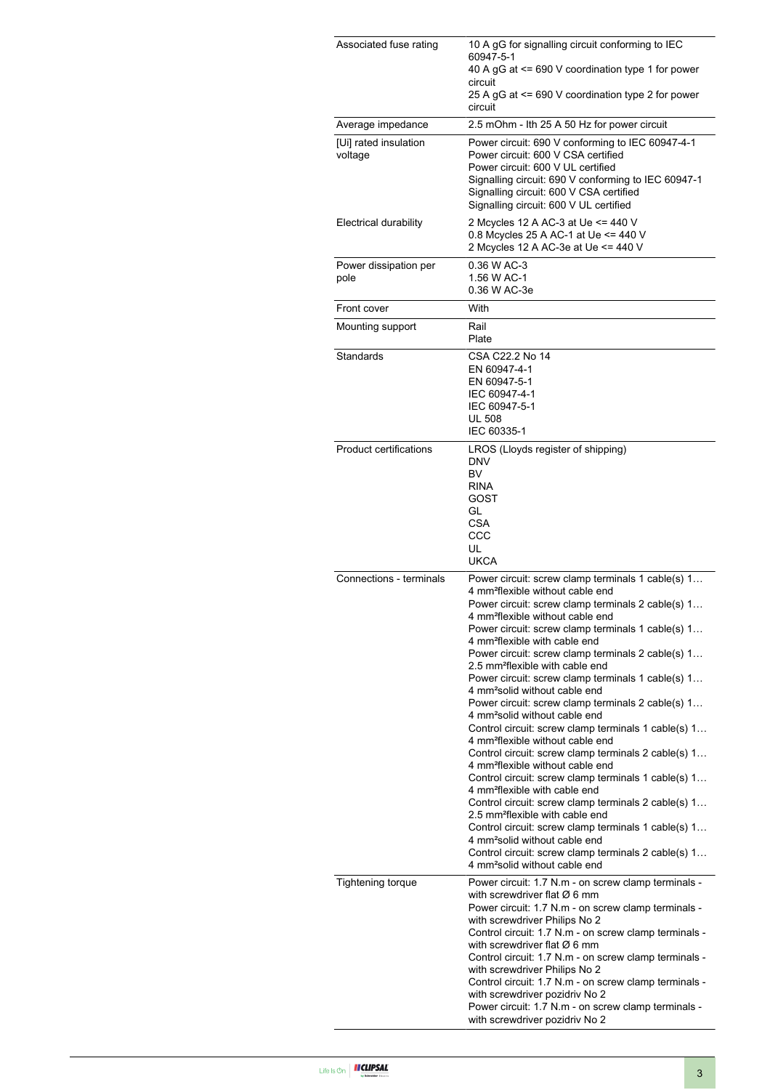| Associated fuse rating           | 10 A gG for signalling circuit conforming to IEC<br>60947-5-1<br>40 A gG at <= 690 V coordination type 1 for power<br>circuit<br>25 A gG at <= 690 V coordination type 2 for power                                                                                                                                                                                                                                                                                                                                                                                                                                                                                                                                                                                                                                                                                                                                                                                                                                                                                                                                                                                                          |  |  |
|----------------------------------|---------------------------------------------------------------------------------------------------------------------------------------------------------------------------------------------------------------------------------------------------------------------------------------------------------------------------------------------------------------------------------------------------------------------------------------------------------------------------------------------------------------------------------------------------------------------------------------------------------------------------------------------------------------------------------------------------------------------------------------------------------------------------------------------------------------------------------------------------------------------------------------------------------------------------------------------------------------------------------------------------------------------------------------------------------------------------------------------------------------------------------------------------------------------------------------------|--|--|
|                                  | circuit                                                                                                                                                                                                                                                                                                                                                                                                                                                                                                                                                                                                                                                                                                                                                                                                                                                                                                                                                                                                                                                                                                                                                                                     |  |  |
| Average impedance                | 2.5 mOhm - Ith 25 A 50 Hz for power circuit                                                                                                                                                                                                                                                                                                                                                                                                                                                                                                                                                                                                                                                                                                                                                                                                                                                                                                                                                                                                                                                                                                                                                 |  |  |
| [Ui] rated insulation<br>voltage | Power circuit: 690 V conforming to IEC 60947-4-1<br>Power circuit: 600 V CSA certified<br>Power circuit: 600 V UL certified<br>Signalling circuit: 690 V conforming to IEC 60947-1<br>Signalling circuit: 600 V CSA certified<br>Signalling circuit: 600 V UL certified                                                                                                                                                                                                                                                                                                                                                                                                                                                                                                                                                                                                                                                                                                                                                                                                                                                                                                                     |  |  |
| <b>Electrical durability</b>     | 2 Mcycles 12 A AC-3 at Ue <= 440 V<br>0.8 Mcycles 25 A AC-1 at Ue <= 440 V<br>2 Mcycles 12 A AC-3e at Ue <= 440 V                                                                                                                                                                                                                                                                                                                                                                                                                                                                                                                                                                                                                                                                                                                                                                                                                                                                                                                                                                                                                                                                           |  |  |
| Power dissipation per<br>pole    | 0.36 W AC-3<br>1.56 W AC-1<br>0.36 W AC-3e                                                                                                                                                                                                                                                                                                                                                                                                                                                                                                                                                                                                                                                                                                                                                                                                                                                                                                                                                                                                                                                                                                                                                  |  |  |
| Front cover                      | With                                                                                                                                                                                                                                                                                                                                                                                                                                                                                                                                                                                                                                                                                                                                                                                                                                                                                                                                                                                                                                                                                                                                                                                        |  |  |
| Mounting support                 | Rail<br>Plate                                                                                                                                                                                                                                                                                                                                                                                                                                                                                                                                                                                                                                                                                                                                                                                                                                                                                                                                                                                                                                                                                                                                                                               |  |  |
| Standards                        | CSA C22.2 No 14<br>EN 60947-4-1<br>EN 60947-5-1<br>IEC 60947-4-1<br>IEC 60947-5-1<br><b>UL 508</b><br>IEC 60335-1                                                                                                                                                                                                                                                                                                                                                                                                                                                                                                                                                                                                                                                                                                                                                                                                                                                                                                                                                                                                                                                                           |  |  |
| <b>Product certifications</b>    | LROS (Lloyds register of shipping)<br><b>DNV</b><br><b>BV</b><br><b>RINA</b><br>GOST<br>GL<br><b>CSA</b><br>CCC<br>UL<br><b>UKCA</b>                                                                                                                                                                                                                                                                                                                                                                                                                                                                                                                                                                                                                                                                                                                                                                                                                                                                                                                                                                                                                                                        |  |  |
| Connections - terminals          | Power circuit: screw clamp terminals 1 cable(s) 1                                                                                                                                                                                                                                                                                                                                                                                                                                                                                                                                                                                                                                                                                                                                                                                                                                                                                                                                                                                                                                                                                                                                           |  |  |
|                                  | 4 mm <sup>2</sup> flexible without cable end<br>Power circuit: screw clamp terminals 2 cable(s) 1<br>4 mm <sup>2</sup> flexible without cable end<br>Power circuit: screw clamp terminals 1 cable(s) 1<br>4 mm <sup>2</sup> flexible with cable end<br>Power circuit: screw clamp terminals 2 cable(s) 1<br>2.5 mm <sup>2</sup> flexible with cable end<br>Power circuit: screw clamp terminals 1 cable(s) 1<br>4 mm <sup>2</sup> solid without cable end<br>Power circuit: screw clamp terminals 2 cable(s) 1<br>4 mm <sup>2</sup> solid without cable end<br>Control circuit: screw clamp terminals 1 cable(s) 1<br>4 mm <sup>2</sup> flexible without cable end<br>Control circuit: screw clamp terminals 2 cable(s) 1<br>4 mm <sup>2</sup> flexible without cable end<br>Control circuit: screw clamp terminals 1 cable(s) 1<br>4 mm <sup>2</sup> flexible with cable end<br>Control circuit: screw clamp terminals 2 cable(s) 1<br>2.5 mm <sup>2</sup> flexible with cable end<br>Control circuit: screw clamp terminals 1 cable(s) 1<br>4 mm <sup>2</sup> solid without cable end<br>Control circuit: screw clamp terminals 2 cable(s) 1<br>4 mm <sup>2</sup> solid without cable end |  |  |
| <b>Tightening torque</b>         | Power circuit: 1.7 N.m - on screw clamp terminals -<br>with screwdriver flat $\varnothing$ 6 mm<br>Power circuit: 1.7 N.m - on screw clamp terminals -<br>with screwdriver Philips No 2<br>Control circuit: 1.7 N.m - on screw clamp terminals -<br>with screwdriver flat $\varnothing$ 6 mm<br>Control circuit: 1.7 N.m - on screw clamp terminals -<br>with screwdriver Philips No 2<br>Control circuit: 1.7 N.m - on screw clamp terminals -<br>with screwdriver pozidriv No 2<br>Power circuit: 1.7 N.m - on screw clamp terminals -<br>with screwdriver pozidriv No 2                                                                                                                                                                                                                                                                                                                                                                                                                                                                                                                                                                                                                  |  |  |

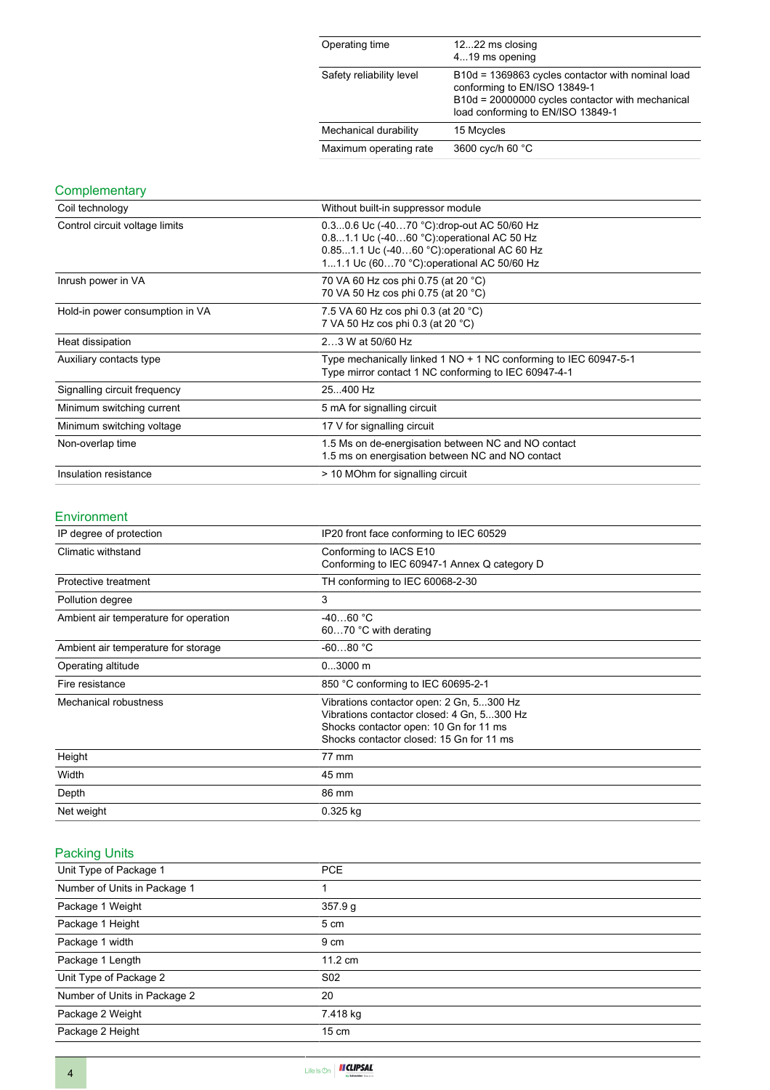| Operating time           | 1222 ms closing<br>419 ms opening                                                                                                                                          |
|--------------------------|----------------------------------------------------------------------------------------------------------------------------------------------------------------------------|
| Safety reliability level | B10d = 1369863 cycles contactor with nominal load<br>conforming to EN/ISO 13849-1<br>B10d = 20000000 cycles contactor with mechanical<br>load conforming to EN/ISO 13849-1 |
| Mechanical durability    | 15 Mcycles                                                                                                                                                                 |
| Maximum operating rate   | 3600 cyc/h 60 °C                                                                                                                                                           |

## **Complementary**

| Coil technology                 | Without built-in suppressor module                                                                                                                                                   |  |  |
|---------------------------------|--------------------------------------------------------------------------------------------------------------------------------------------------------------------------------------|--|--|
| Control circuit voltage limits  | 0.30.6 Uc (-4070 °C): drop-out AC 50/60 Hz<br>0.81.1 Uc (-4060 °C) operational AC 50 Hz<br>0.851.1 Uc (-4060 °C): operational AC 60 Hz<br>11.1 Uc (6070 °C): operational AC 50/60 Hz |  |  |
| Inrush power in VA              | 70 VA 60 Hz cos phi 0.75 (at 20 °C)<br>70 VA 50 Hz cos phi 0.75 (at 20 °C)                                                                                                           |  |  |
| Hold-in power consumption in VA | 7.5 VA 60 Hz cos phi 0.3 (at 20 °C)<br>7 VA 50 Hz cos phi 0.3 (at 20 °C)                                                                                                             |  |  |
| Heat dissipation                | 23 W at 50/60 Hz                                                                                                                                                                     |  |  |
| Auxiliary contacts type         | Type mechanically linked 1 NO + 1 NC conforming to IEC 60947-5-1<br>Type mirror contact 1 NC conforming to IEC 60947-4-1                                                             |  |  |
| Signalling circuit frequency    | 25400 Hz                                                                                                                                                                             |  |  |
| Minimum switching current       | 5 mA for signalling circuit                                                                                                                                                          |  |  |
| Minimum switching voltage       | 17 V for signalling circuit                                                                                                                                                          |  |  |
| Non-overlap time                | 1.5 Ms on de-energisation between NC and NO contact<br>1.5 ms on energisation between NC and NO contact                                                                              |  |  |
| Insulation resistance           | > 10 MOhm for signalling circuit                                                                                                                                                     |  |  |

#### Environment

| IP degree of protection               | IP20 front face conforming to IEC 60529                                                                                                                                      |  |
|---------------------------------------|------------------------------------------------------------------------------------------------------------------------------------------------------------------------------|--|
| Climatic withstand                    | Conforming to IACS E10<br>Conforming to IEC 60947-1 Annex Q category D                                                                                                       |  |
| Protective treatment                  | TH conforming to IEC 60068-2-30                                                                                                                                              |  |
| Pollution degree                      | 3                                                                                                                                                                            |  |
| Ambient air temperature for operation | $-4060 °C$<br>6070 °C with derating                                                                                                                                          |  |
| Ambient air temperature for storage   | $-6080 °C$                                                                                                                                                                   |  |
| Operating altitude                    | $03000$ m                                                                                                                                                                    |  |
| Fire resistance                       | 850 °C conforming to IEC 60695-2-1                                                                                                                                           |  |
| Mechanical robustness                 | Vibrations contactor open: 2 Gn, 5300 Hz<br>Vibrations contactor closed: 4 Gn, 5300 Hz<br>Shocks contactor open: 10 Gn for 11 ms<br>Shocks contactor closed: 15 Gn for 11 ms |  |
| Height                                | 77 mm                                                                                                                                                                        |  |
| Width                                 | 45 mm                                                                                                                                                                        |  |
| Depth                                 | 86 mm                                                                                                                                                                        |  |
| Net weight                            | 0.325 kg                                                                                                                                                                     |  |

# Packing Units

| Unit Type of Package 1       | <b>PCE</b>        |
|------------------------------|-------------------|
| Number of Units in Package 1 |                   |
| Package 1 Weight             | 357.9 g           |
| Package 1 Height             | 5 cm              |
| Package 1 width              | 9 cm              |
| Package 1 Length             | $11.2 \text{ cm}$ |
| Unit Type of Package 2       | S <sub>02</sub>   |
| Number of Units in Package 2 | 20                |
| Package 2 Weight             | 7.418 kg          |
| Package 2 Height             | $15 \text{ cm}$   |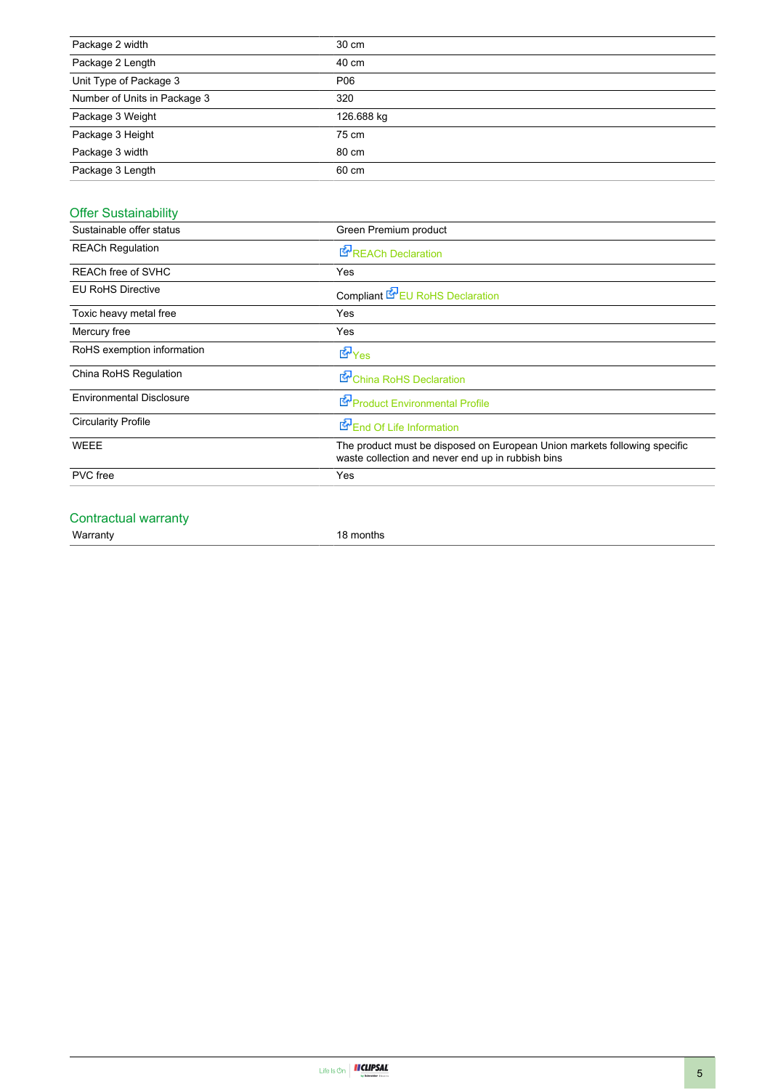| Package 2 width              | 30 cm      |
|------------------------------|------------|
| Package 2 Length             | 40 cm      |
| Unit Type of Package 3       | P06        |
| Number of Units in Package 3 | 320        |
| Package 3 Weight             | 126.688 kg |
| Package 3 Height             | 75 cm      |
| Package 3 width              | 80 cm      |
| Package 3 Length             | 60 cm      |

# Offer Sustainability

| Sustainable offer status        | Green Premium product                                                                                                          |  |  |  |
|---------------------------------|--------------------------------------------------------------------------------------------------------------------------------|--|--|--|
| <b>REACh Regulation</b>         | <b>E</b> REACh Declaration                                                                                                     |  |  |  |
| REACh free of SVHC              | Yes                                                                                                                            |  |  |  |
| <b>EU RoHS Directive</b>        | Compliant <b>E</b> EU RoHS Declaration                                                                                         |  |  |  |
| Toxic heavy metal free          | Yes                                                                                                                            |  |  |  |
| Mercury free                    | Yes                                                                                                                            |  |  |  |
| RoHS exemption information      | <b>E</b> Yes                                                                                                                   |  |  |  |
| China RoHS Regulation           | China RoHS Declaration                                                                                                         |  |  |  |
| <b>Environmental Disclosure</b> | Product Environmental Profile                                                                                                  |  |  |  |
| <b>Circularity Profile</b>      | End Of Life Information                                                                                                        |  |  |  |
| <b>WEEE</b>                     | The product must be disposed on European Union markets following specific<br>waste collection and never end up in rubbish bins |  |  |  |
| <b>PVC</b> free                 | Yes                                                                                                                            |  |  |  |
|                                 |                                                                                                                                |  |  |  |

### Contractual warranty

Warranty 18 months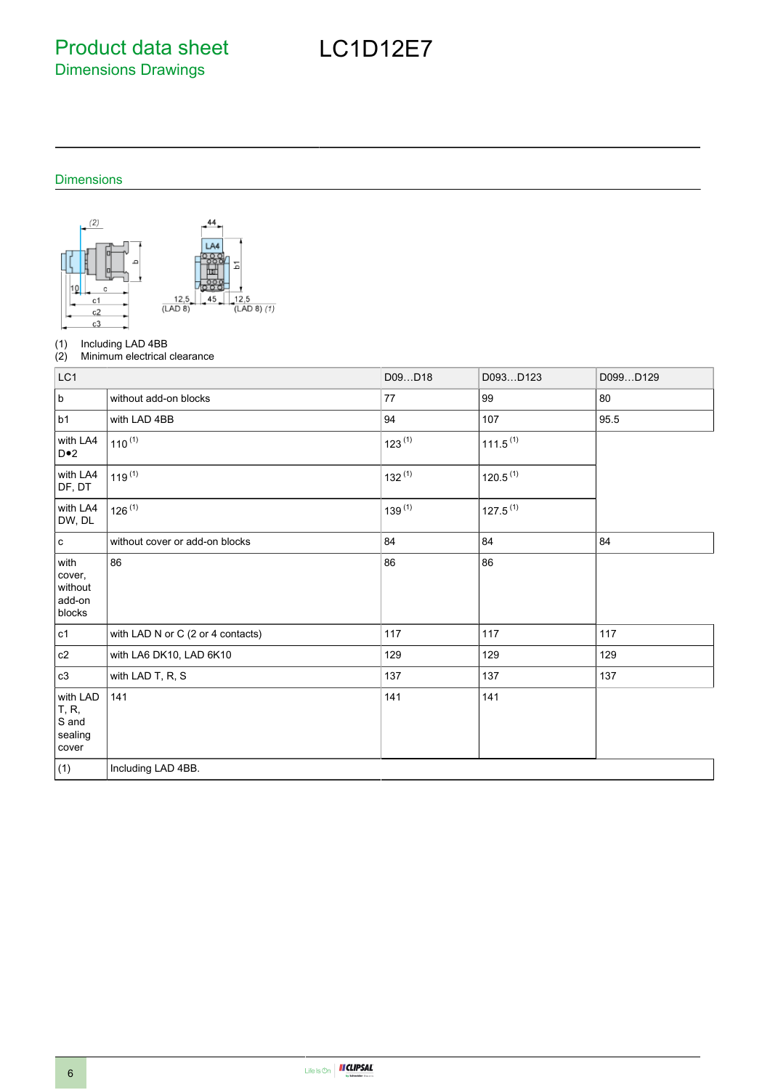Product data sheet Dimensions Drawings

# LC1D12E7

### Dimensions



(1) Including LAD 4BB<br>(2) Minimum electrical

Minimum electrical clearance

| LC1                                                    |                                   | D09D18      | D093D123             | D099D129 |
|--------------------------------------------------------|-----------------------------------|-------------|----------------------|----------|
| $\sf b$                                                | without add-on blocks             | 77          | 99                   | 80       |
| b1                                                     | with LAD 4BB                      | 94          | 107                  | 95.5     |
| with LA4<br>$D \bullet 2$                              | $110^{(1)}$                       | $123^{(1)}$ | $111.5^{(1)}$        |          |
| with LA4<br>DF, DT                                     | $119^{(1)}$                       | $132^{(1)}$ | 120.5 <sup>(1)</sup> |          |
| with LA4<br>DW, DL                                     | $126^{(1)}$                       | $139^{(1)}$ | $127.5^{(1)}$        |          |
| $\mathtt{c}$                                           | without cover or add-on blocks    | 84          | 84                   | 84       |
| with<br>cover,<br>without<br>add-on<br>blocks          | 86                                | 86          | 86                   |          |
| c1                                                     | with LAD N or C (2 or 4 contacts) | 117         | 117                  | 117      |
| $\mathtt{c2}$                                          | with LA6 DK10, LAD 6K10           | 129         | 129                  | 129      |
| c3                                                     | with LAD T, R, S                  | 137         | 137                  | 137      |
| with LAD<br><b>T</b> , R,<br>S and<br>sealing<br>cover | 141                               | 141         | 141                  |          |
| (1)                                                    | Including LAD 4BB.                |             |                      |          |